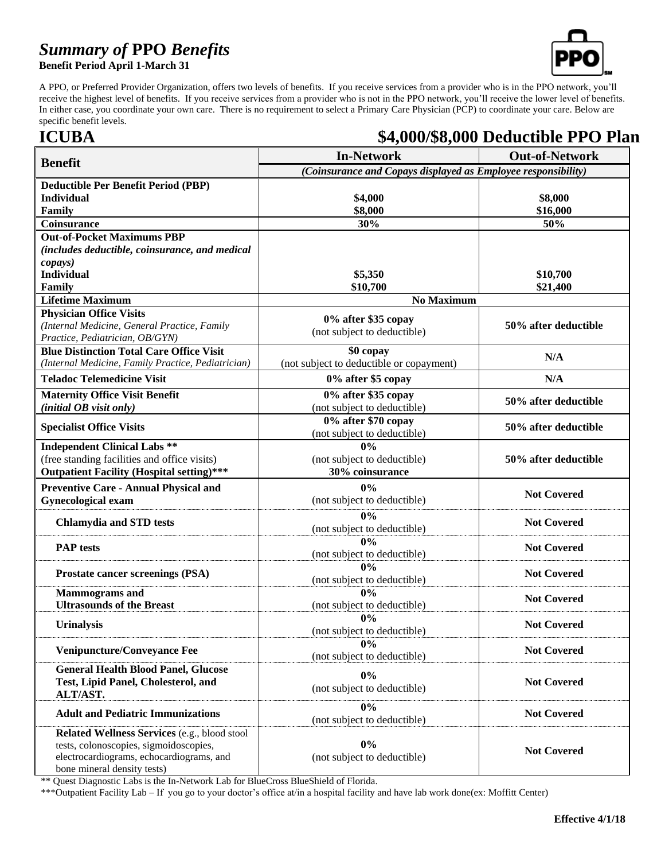### *Summary of* **PPO** *Benefits*

**Benefit Period April 1-March 31**



A PPO, or Preferred Provider Organization, offers two levels of benefits. If you receive services from a provider who is in the PPO network, you'll receive the highest level of benefits. If you receive services from a provider who is not in the PPO network, you'll receive the lower level of benefits. In either case, you coordinate your own care. There is no requirement to select a Primary Care Physician (PCP) to coordinate your care. Below are specific benefit levels.

### **ICUBA \$4,000/\$8,000 Deductible PPO Plan**

|                                                                                    | <b>In-Network</b>                                             | <b>Out-of-Network</b> |  |
|------------------------------------------------------------------------------------|---------------------------------------------------------------|-----------------------|--|
| <b>Benefit</b>                                                                     | (Coinsurance and Copays displayed as Employee responsibility) |                       |  |
| <b>Deductible Per Benefit Period (PBP)</b>                                         |                                                               |                       |  |
| <b>Individual</b>                                                                  | \$4,000                                                       | \$8,000               |  |
| Family                                                                             | \$8,000                                                       | \$16,000              |  |
| Coinsurance                                                                        | 30%                                                           | 50%                   |  |
| <b>Out-of-Pocket Maximums PBP</b>                                                  |                                                               |                       |  |
| (includes deductible, coinsurance, and medical                                     |                                                               |                       |  |
| copays)                                                                            |                                                               |                       |  |
| <b>Individual</b><br>Family                                                        | \$5,350<br>\$10,700                                           | \$10,700<br>\$21,400  |  |
| <b>Lifetime Maximum</b>                                                            | <b>No Maximum</b>                                             |                       |  |
| <b>Physician Office Visits</b>                                                     |                                                               |                       |  |
| (Internal Medicine, General Practice, Family                                       | 0% after \$35 copay                                           | 50% after deductible  |  |
| Practice, Pediatrician, OB/GYN)                                                    | (not subject to deductible)                                   |                       |  |
| <b>Blue Distinction Total Care Office Visit</b>                                    | \$0 copay                                                     | N/A                   |  |
| (Internal Medicine, Family Practice, Pediatrician)                                 | (not subject to deductible or copayment)                      |                       |  |
| <b>Teladoc Telemedicine Visit</b>                                                  | 0% after \$5 copay                                            | N/A                   |  |
| <b>Maternity Office Visit Benefit</b>                                              | 0% after \$35 copay                                           | 50% after deductible  |  |
| (initial OB visit only)                                                            | (not subject to deductible)                                   |                       |  |
| <b>Specialist Office Visits</b>                                                    | 0% after \$70 copay                                           | 50% after deductible  |  |
| <b>Independent Clinical Labs **</b>                                                | (not subject to deductible)<br>0%                             |                       |  |
| (free standing facilities and office visits)                                       | (not subject to deductible)                                   | 50% after deductible  |  |
| <b>Outpatient Facility (Hospital setting)***</b>                                   | 30% coinsurance                                               |                       |  |
| <b>Preventive Care - Annual Physical and</b>                                       | $0\%$                                                         |                       |  |
| <b>Gynecological exam</b>                                                          | (not subject to deductible)                                   | <b>Not Covered</b>    |  |
|                                                                                    | 0%                                                            |                       |  |
| <b>Chlamydia and STD tests</b>                                                     | (not subject to deductible)                                   | <b>Not Covered</b>    |  |
|                                                                                    | 0%                                                            |                       |  |
| <b>PAP</b> tests                                                                   | (not subject to deductible)                                   | <b>Not Covered</b>    |  |
|                                                                                    | $0\%$                                                         | <b>Not Covered</b>    |  |
| <b>Prostate cancer screenings (PSA)</b>                                            | (not subject to deductible)                                   |                       |  |
| <b>Mammograms</b> and                                                              | 0%                                                            | <b>Not Covered</b>    |  |
| <b>Ultrasounds of the Breast</b>                                                   | (not subject to deductible)                                   |                       |  |
| <b>Urinalysis</b>                                                                  | $0\%$                                                         | <b>Not Covered</b>    |  |
|                                                                                    | (not subject to deductible)<br>$0\%$                          |                       |  |
| <b>Venipuncture/Conveyance Fee</b>                                                 | (not subject to deductible)                                   | <b>Not Covered</b>    |  |
| <b>General Health Blood Panel, Glucose</b>                                         |                                                               |                       |  |
| Test, Lipid Panel, Cholesterol, and                                                | 0%                                                            | <b>Not Covered</b>    |  |
| ALT/AST.                                                                           | (not subject to deductible)                                   |                       |  |
| <b>Adult and Pediatric Immunizations</b>                                           | 0%                                                            | <b>Not Covered</b>    |  |
|                                                                                    | (not subject to deductible)                                   |                       |  |
| Related Wellness Services (e.g., blood stool                                       | 0%                                                            |                       |  |
| tests, colonoscopies, sigmoidoscopies,<br>electrocardiograms, echocardiograms, and | (not subject to deductible)                                   | <b>Not Covered</b>    |  |
| bone mineral density tests)                                                        |                                                               |                       |  |

\*\* Quest Diagnostic Labs is the In-Network Lab for BlueCross BlueShield of Florida.

\*\*\*Outpatient Facility Lab – If you go to your doctor's office at/in a hospital facility and have lab work done(ex: Moffitt Center)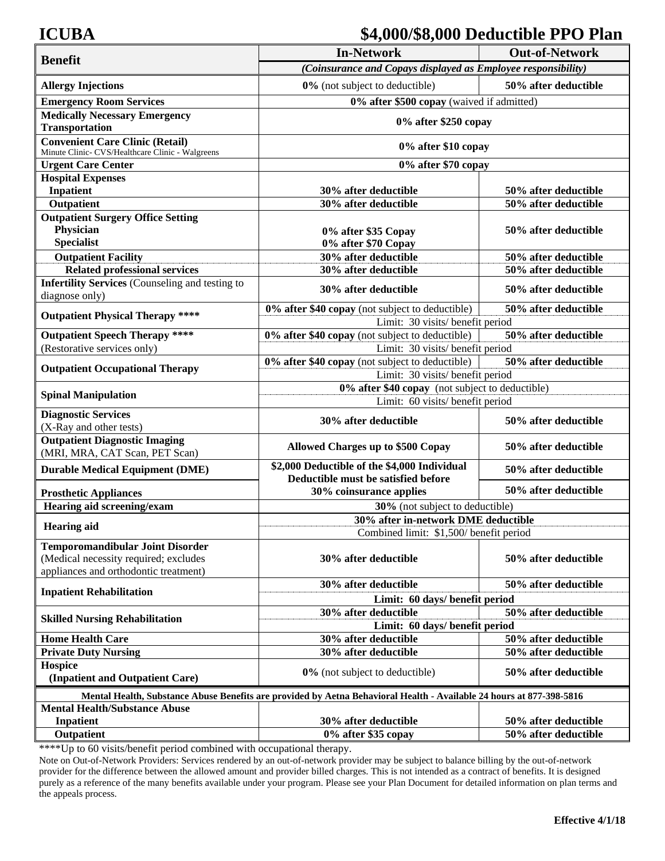### **ICUBA \$4,000/\$8,000 Deductible PPO Plan**

| <b>Benefit</b>                                                                                                            | <b>In-Network</b>                                                                   | <b>Out-of-Network</b> |  |  |
|---------------------------------------------------------------------------------------------------------------------------|-------------------------------------------------------------------------------------|-----------------------|--|--|
|                                                                                                                           | (Coinsurance and Copays displayed as Employee responsibility)                       |                       |  |  |
| <b>Allergy Injections</b>                                                                                                 | 0% (not subject to deductible)                                                      | 50% after deductible  |  |  |
| <b>Emergency Room Services</b>                                                                                            | 0% after \$500 copay (waived if admitted)                                           |                       |  |  |
| <b>Medically Necessary Emergency</b>                                                                                      |                                                                                     |                       |  |  |
| <b>Transportation</b>                                                                                                     | 0% after \$250 copay                                                                |                       |  |  |
| <b>Convenient Care Clinic (Retail)</b><br>Minute Clinic- CVS/Healthcare Clinic - Walgreens                                | 0% after \$10 copay                                                                 |                       |  |  |
| <b>Urgent Care Center</b>                                                                                                 | 0% after \$70 copay                                                                 |                       |  |  |
| <b>Hospital Expenses</b>                                                                                                  |                                                                                     |                       |  |  |
| <b>Inpatient</b>                                                                                                          | 30% after deductible                                                                | 50% after deductible  |  |  |
| Outpatient                                                                                                                | 30% after deductible                                                                | 50% after deductible  |  |  |
| <b>Outpatient Surgery Office Setting</b>                                                                                  |                                                                                     |                       |  |  |
| <b>Physician</b>                                                                                                          | 0% after \$35 Copay                                                                 | 50% after deductible  |  |  |
| <b>Specialist</b>                                                                                                         | 0% after \$70 Copay                                                                 |                       |  |  |
| <b>Outpatient Facility</b>                                                                                                | 30% after deductible                                                                | 50% after deductible  |  |  |
| <b>Related professional services</b>                                                                                      | 30% after deductible                                                                | 50% after deductible  |  |  |
| <b>Infertility Services</b> (Counseling and testing to<br>diagnose only)                                                  | 30% after deductible                                                                | 50% after deductible  |  |  |
| <b>Outpatient Physical Therapy ****</b>                                                                                   | 0% after \$40 copay (not subject to deductible)                                     | 50% after deductible  |  |  |
|                                                                                                                           | Limit: 30 visits/ benefit period                                                    |                       |  |  |
| <b>Outpatient Speech Therapy ****</b>                                                                                     | 0% after \$40 copay (not subject to deductible)                                     | 50% after deductible  |  |  |
| (Restorative services only)                                                                                               | Limit: 30 visits/ benefit period                                                    |                       |  |  |
| <b>Outpatient Occupational Therapy</b>                                                                                    | 0% after \$40 copay (not subject to deductible)<br>50% after deductible             |                       |  |  |
|                                                                                                                           | Limit: 30 visits/ benefit period                                                    |                       |  |  |
| <b>Spinal Manipulation</b>                                                                                                | 0% after \$40 copay (not subject to deductible)<br>Limit: 60 visits/ benefit period |                       |  |  |
| <b>Diagnostic Services</b><br>(X-Ray and other tests)                                                                     | 30% after deductible                                                                | 50% after deductible  |  |  |
| <b>Outpatient Diagnostic Imaging</b><br>(MRI, MRA, CAT Scan, PET Scan)                                                    | <b>Allowed Charges up to \$500 Copay</b>                                            | 50% after deductible  |  |  |
| <b>Durable Medical Equipment (DME)</b>                                                                                    | \$2,000 Deductible of the \$4,000 Individual<br>Deductible must be satisfied before | 50% after deductible  |  |  |
| <b>Prosthetic Appliances</b>                                                                                              | 30% coinsurance applies                                                             | 50% after deductible  |  |  |
| Hearing aid screening/exam                                                                                                | 30% (not subject to deductible)                                                     |                       |  |  |
| <b>Hearing aid</b>                                                                                                        | 30% after in-network DME deductible                                                 |                       |  |  |
|                                                                                                                           | Combined limit: \$1,500/ benefit period                                             |                       |  |  |
| <b>Temporomandibular Joint Disorder</b><br>(Medical necessity required; excludes<br>appliances and orthodontic treatment) | 30% after deductible                                                                | 50% after deductible  |  |  |
|                                                                                                                           | 30% after deductible                                                                | 50% after deductible  |  |  |
| <b>Inpatient Rehabilitation</b>                                                                                           | Limit: 60 days/ benefit period                                                      |                       |  |  |
|                                                                                                                           | 30% after deductible<br>50% after deductible                                        |                       |  |  |
| <b>Skilled Nursing Rehabilitation</b>                                                                                     | Limit: 60 days/ benefit period                                                      |                       |  |  |
| <b>Home Health Care</b>                                                                                                   | 30% after deductible                                                                | 50% after deductible  |  |  |
| <b>Private Duty Nursing</b>                                                                                               | 30% after deductible                                                                | 50% after deductible  |  |  |
| Hospice<br>(Inpatient and Outpatient Care)                                                                                | 0% (not subject to deductible)                                                      | 50% after deductible  |  |  |
| Mental Health, Substance Abuse Benefits are provided by Aetna Behavioral Health - Available 24 hours at 877-398-5816      |                                                                                     |                       |  |  |
| <b>Mental Health/Substance Abuse</b>                                                                                      |                                                                                     |                       |  |  |
| <b>Inpatient</b>                                                                                                          | 30% after deductible                                                                | 50% after deductible  |  |  |
| Outpatient                                                                                                                | 0% after \$35 copay                                                                 | 50% after deductible  |  |  |

\*\*\*\*Up to 60 visits/benefit period combined with occupational therapy.

Note on Out-of-Network Providers: Services rendered by an out-of-network provider may be subject to balance billing by the out-of-network provider for the difference between the allowed amount and provider billed charges. This is not intended as a contract of benefits. It is designed purely as a reference of the many benefits available under your program. Please see your Plan Document for detailed information on plan terms and the appeals process.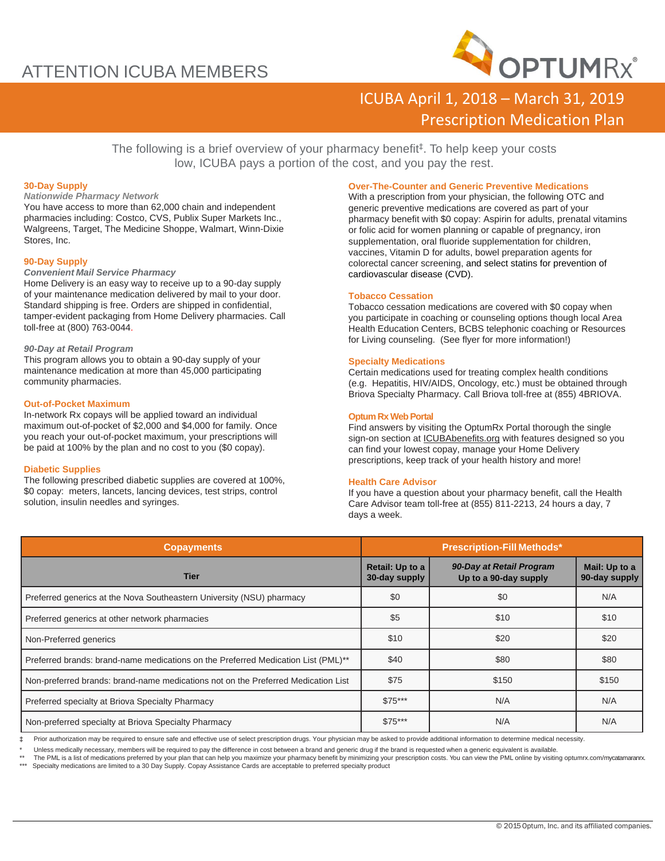## ATTENTION ICUBA MEMBERS



### ICUBA April 1, 2018 – March 31, 2019 Prescription Medication Plan

The following is a brief overview of your pharmacy benefit‡ . To help keep your costs low, ICUBA pays a portion of the cost, and you pay the rest.

#### **30-Day Supply**

*Nationwide Pharmacy Network* You have access to more than 62,000 chain and independent pharmacies including: Costco, CVS, Publix Super Markets Inc., Walgreens, Target, The Medicine Shoppe, Walmart, Winn-Dixie Stores, Inc.

#### **90-Day Supply**

#### *Convenient Mail Service Pharmacy*

Home Delivery is an easy way to receive up to a 90-day supply of your maintenance medication delivered by mail to your door. Standard shipping is free. Orders are shipped in confidential, tamper-evident packaging from Home Delivery pharmacies. Call toll-free at (800) 763-0044.

#### *90-Day at Retail Program*

This program allows you to obtain a 90-day supply of your maintenance medication at more than 45,000 participating community pharmacies.

#### **Out-of-Pocket Maximum**

In-network Rx copays will be applied toward an individual maximum out-of-pocket of \$2,000 and \$4,000 for family. Once you reach your out-of-pocket maximum, your prescriptions will be paid at 100% by the plan and no cost to you (\$0 copay).

#### **Diabetic Supplies**

The following prescribed diabetic supplies are covered at 100%, \$0 copay: meters, lancets, lancing devices, test strips, control solution, insulin needles and syringes.

#### **Over-The-Counter and Generic Preventive Medications**

With a prescription from your physician, the following OTC and generic preventive medications are covered as part of your pharmacy benefit with \$0 copay: Aspirin for adults, prenatal vitamins or folic acid for women planning or capable of pregnancy, iron supplementation, oral fluoride supplementation for children, vaccines, Vitamin D for adults, bowel preparation agents for colorectal cancer screening, and select statins for prevention of cardiovascular disease (CVD).

### **Tobacco Cessation**

Tobacco cessation medications are covered with \$0 copay when you participate in coaching or counseling options though local Area Health Education Centers, BCBS telephonic coaching or Resources for Living counseling. (See flyer for more information!)

#### **Specialty Medications**

Certain medications used for treating complex health conditions (e.g. Hepatitis, HIV/AIDS, Oncology, etc.) must be obtained through Briova Specialty Pharmacy. Call Briova toll-free at (855) 4BRIOVA.

#### **Optum Rx Web Portal**

Find answers by visiting the OptumRx Portal thorough the single sign-on section at ICUBAbenefits.org with features designed so you can find your lowest copay, manage your Home Delivery prescriptions, keep track of your health history and more!

#### **Health Care Advisor**

If you have a question about your pharmacy benefit, call the Health Care Advisor team toll-free at (855) 811-2213, 24 hours a day, 7 days a week.

| <b>Copayments</b>                                                                 | <b>Prescription-Fill Methods*</b> |                                                   |                                |
|-----------------------------------------------------------------------------------|-----------------------------------|---------------------------------------------------|--------------------------------|
| <b>Tier</b>                                                                       | Retail: Up to a<br>30-day supply  | 90-Day at Retail Program<br>Up to a 90-day supply | Mail: Up to a<br>90-day supply |
| Preferred generics at the Nova Southeastern University (NSU) pharmacy             | \$0                               | \$0                                               | N/A                            |
| Preferred generics at other network pharmacies                                    | \$5                               | \$10                                              | \$10                           |
| Non-Preferred generics                                                            | \$10                              | \$20                                              | \$20                           |
| Preferred brands: brand-name medications on the Preferred Medication List (PML)** | \$40                              | \$80                                              | \$80                           |
| Non-preferred brands: brand-name medications not on the Preferred Medication List | \$75                              | \$150                                             | \$150                          |
| Preferred specialty at Briova Specialty Pharmacy                                  | $$75***$                          | N/A                                               | N/A                            |
| Non-preferred specialty at Briova Specialty Pharmacy                              | $$75***$                          | N/A                                               | N/A                            |

‡ Prior authorization may be required to ensure safe and effective use of select prescription drugs. Your physician may be asked to provide additional information to determine medical necessity.

Unless medically necessary, members will be required to pay the difference in cost between a brand and generic drug if the brand is requested when a generic equivalent is available.

The PML is a list of medications preferred by your plan that can help you maximize your pharmacy benefit by minimizing your prescription costs. You can view the PML online by visiting optumrx.com/mycatamaranrx. \*\*\* Specialty medications are limited to a 30 Day Supply. Copay Assistance Cards are acceptable to preferred specialty product